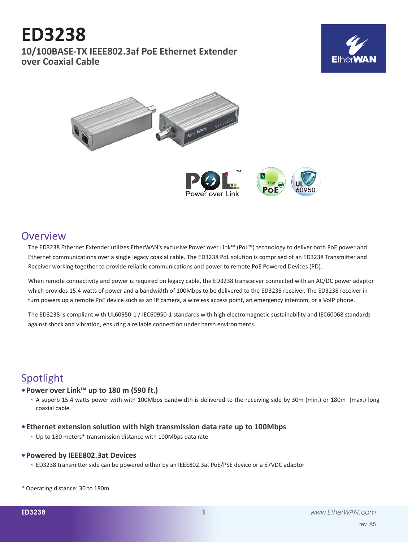# **ED3238**

**10/100BASE-TX IEEE802.3af PoE Ethernet Extender over Coaxial Cable**







### **Overview**

The ED3238 Ethernet Extender utilizes EtherWAN's exclusive Power over Link™ (PoL™) technology to deliver both PoE power and Ethernet communications over a single legacy coaxial cable. The ED3238 PoL solution is comprised of an ED3238 Transmitter and Receiver working together to provide reliable communications and power to remote PoE Powered Devices (PD).

When remote connectivity and power is required on legacy cable, the ED3238 transceiver connected with an AC/DC power adaptor which provides 15.4 watts of power and a bandwidth of 100Mbps to be delivered to the ED3238 receiver. The ED3238 receiver in turn powers up a remote PoE device such as an IP camera, a wireless access point, an emergency intercom, or a VoIP phone.

The ED3238 is compliant with UL60950-1 / IEC60950-1 standards with high electromagnetic sustainability and IEC60068 standards against shock and vibration, ensuring a reliable connection under harsh environments.

# Spotlight

### **• Power over Link™ up to 180 m (590 ft.)**

- A superb 15.4 watts power with with 100Mbps bandwidth is delivered to the receiving side by 30m (min.) or 180m (max.) long coaxial cable.
- **• Ethernet extension solution with high transmission data rate up to 100Mbps**
	- Up to 180 meters\* transmission distance with 100Mbps data rate

#### **• Powered by IEEE802.3at Devices**

◦ ED3238 transmitter side can be powered either by an IEEE802.3at PoE/PSE device or a 57VDC adaptor

\* Operating distance: 30 to 180m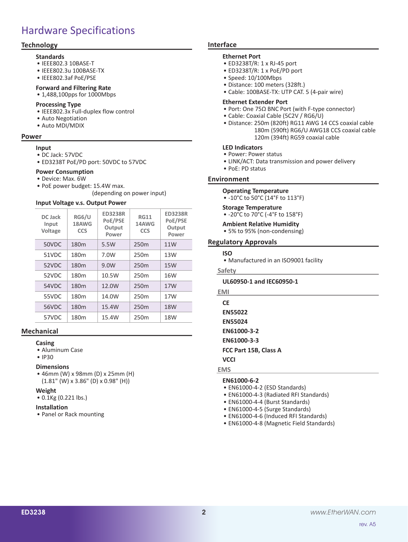# Hardware Specifications

### **Technology**

#### **Standards**

- • IEEE802.3 10BASE-T
- • IEEE802.3u 100BASE-TX
- • IEEE802.3af PoE/PSE

#### **Forward and Filtering Rate**

• 1,488,100pps for 1000Mbps

#### **Processing Type**

- IEEE802.3x Full-duplex flow control
- • Auto Negotiation
- • Auto MDI/MDIX

#### **Power**

- **Input**
- • DC Jack: 57VDC
- • ED3238T PoE/PD port: 50VDC to 57VDC

#### **Power Consumption**

- • Device: Max. 6W
- PoE power budget: 15.4W max.

(depending on power input)

#### **Input Voltage v.s. Output Power**

| DC Jack<br>Input<br><b>Voltage</b> | RG6/U<br>18AWG<br><b>CCS</b> | <b>ED3238R</b><br>PoE/PSE<br>Output<br>Power | <b>RG11</b><br>14AWG<br><b>CCS</b> | <b>ED3238R</b><br>PoE/PSE<br>Output<br>Power |
|------------------------------------|------------------------------|----------------------------------------------|------------------------------------|----------------------------------------------|
| 50VDC                              | 180 <sub>m</sub>             | 5.5W                                         | 250 <sub>m</sub>                   | 11W                                          |
| 51VDC                              | 180 <sub>m</sub>             | 7.0W                                         | 250 <sub>m</sub>                   | 13W                                          |
| 52VDC                              | 180 <sub>m</sub>             | 9.0W                                         | 250 <sub>m</sub>                   | 15W                                          |
| 52VDC                              | 180 <sub>m</sub>             | 10.5W                                        | 250 <sub>m</sub>                   | 16W                                          |
| 54VDC                              | 180 <sub>m</sub>             | 12.0W                                        | 250 <sub>m</sub>                   | 17W                                          |
| 55VDC                              | 180 <sub>m</sub>             | 14.0W                                        | 250 <sub>m</sub>                   | 17W                                          |
| 56VDC                              | 180 <sub>m</sub>             | 15.4W                                        | 250 <sub>m</sub>                   | 18 <sub>W</sub>                              |
| 57VDC                              | 180 <sub>m</sub>             | 15.4W                                        | 250 <sub>m</sub>                   | 18W                                          |

#### **Mechanical**

#### **Casing**

- • Aluminum Case
- • IP30

#### **Dimensions**

• 46mm (W) x 98mm (D) x 25mm (H) (1.81" (W) x 3.86" (D) x 0.98" (H))

#### **Weight**

• 0.1Kg (0.221 lbs.)

#### **Installation**

• Panel or Rack mounting

#### **Interface**

#### **Ethernet Port**

- • ED3238T/R: 1 x RJ-45 port
- • ED3238T/R: 1 x PoE/PD port
- • Speed: 10/100Mbps
- • Distance: 100 meters (328ft.)
- • Cable: 100BASE-TX: UTP CAT. 5 (4-pair wire)

#### **Ethernet Extender Port**

- Port: One 75Ω BNC Port (with F-type connector)
- • Cable: Coaxial Cable (5C2V / RG6/U)
- • Distance: 250m (820ft) RG11 AWG 14 CCS coaxial cable 180m (590ft) RG6/U AWG18 CCS coaxial cable 120m (394ft) RG59 coaxial cable

#### **LED Indicators**

- • Power: Power status
- LINK/ACT: Data transmission and power delivery
- • PoE: PD status

#### **Environment**

### **Operating Temperature**

• -10°C to 50°C (14°F to 113°F)

#### **Storage Temperature**

• -20°C to 70°C (-4°F to 158°F)

**Ambient Relative Humidity**

• 5% to 95% (non-condensing)

#### **Regulatory Approvals**

- **ISO**
- Manufactured in an ISO9001 facility
- **Safety**

#### **UL60950-1 and IEC60950-1**

**EMI CE**

**EN55022**

**EN55024**

- **EN61000-3-2**
- **EN61000-3-3**

**FCC Part 15B, Class A**

#### **VCCI**

#### **EMS**

- **EN61000-6-2**
- • EN61000-4-2 (ESD Standards)
- • EN61000-4-3 (Radiated RFI Standards)
- EN61000-4-4 (Burst Standards)
- EN61000-4-5 (Surge Standards)
- EN61000-4-6 (Induced RFI Standards)
- • EN61000-4-8 (Magnetic Field Standards)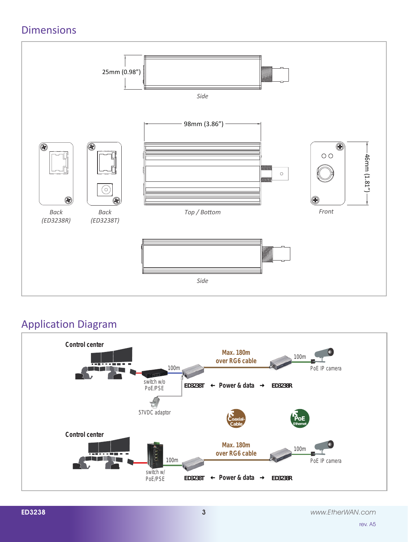# Dimensions



# Application Diagram



rev. A5